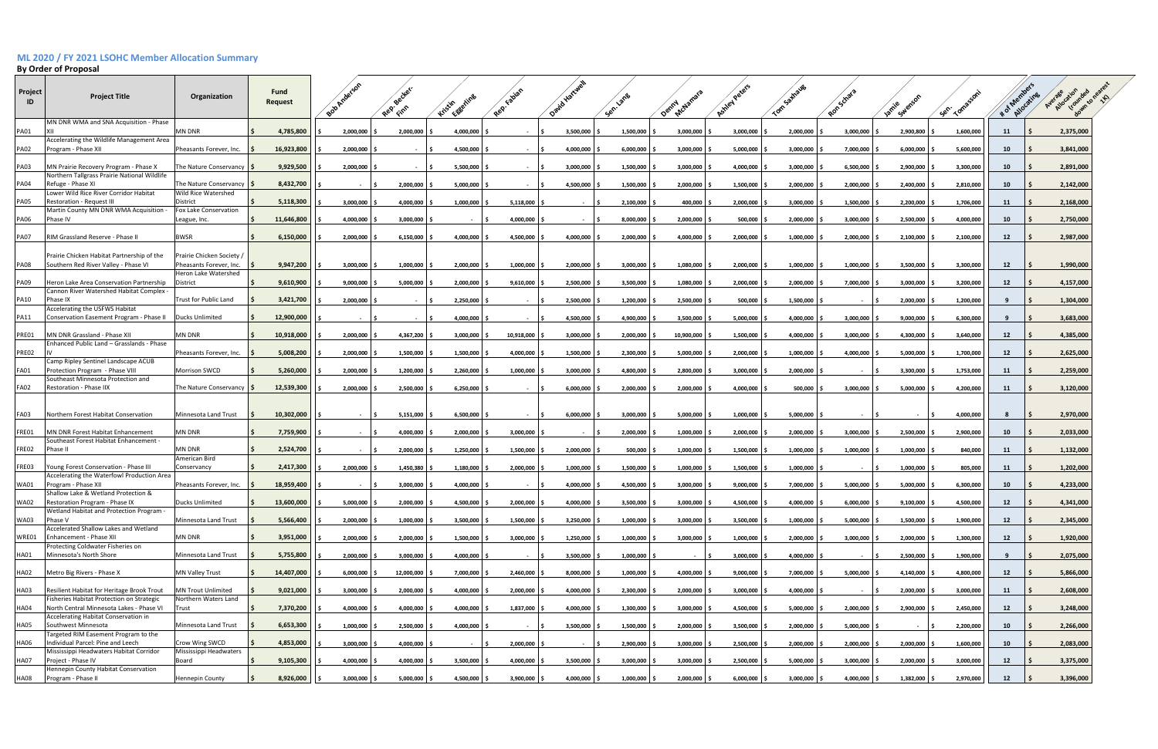## **ML 2020 / FY 2021 LSOHC Member Allocation Summary**

## **By Order of Proposal**

|               | by Order of Proposal                                                                  |                                                 |                 |            |                           |            |                           |                  |                |                           |                    |                |           |                |           |                 |                |           |  |
|---------------|---------------------------------------------------------------------------------------|-------------------------------------------------|-----------------|------------|---------------------------|------------|---------------------------|------------------|----------------|---------------------------|--------------------|----------------|-----------|----------------|-----------|-----------------|----------------|-----------|--|
| Project<br>ID | <b>Project Title</b>                                                                  | Organization                                    | Fund<br>Request |            | Bob Arre                  | Rep vected | Kristin Eggerin           | Rep. Fabi        | ି <sup>ତ</sup> | Sen. lang                 | Demny cham         | Ashley Per     |           |                | Jamie     | <b>Sen. Tow</b> | # of Memoratin |           |  |
| <b>PA01</b>   | MN DNR WMA and SNA Acquisition - Phase<br>XII                                         | <b>MN DNR</b>                                   |                 | 4,785,800  | $2,000,000$ \$            | 2,000,000  | 4,000,000                 |                  | 3,500,000      | $1,500,000$ $\frac{6}{5}$ | $3,000,000$ \$     | 3,000,000      | 2,000,000 | $3,000,000$ \$ | 2,900,800 | 1,600,000       | 11             | 2,375,000 |  |
| <b>PA02</b>   | Accelerating the Wildlife Management Area<br>Program - Phase XII                      | Pheasants Forever, Inc.                         |                 | 16,923,800 | 2,000,000                 | $\sim$     | 4,500,000                 | $\sim$ 15        | 4,000,000      | 6,000,000                 | 3,000,000          | 5,000,000      | 3,000,000 | 7,000,000      | 6,000,000 | 5,600,000       | 10             | 3,841,000 |  |
| <b>PA03</b>   | MN Prairie Recovery Program - Phase X                                                 | The Nature Conservancy                          |                 | 9,929,500  | 2,000,000                 | $\sim$     | 5,500,000                 | - IS             | 3,000,000      | 1,500,000                 | 3,000,000          | 4,000,000      | 3,000,000 | 6,500,000      | 2,900,000 | 3,300,000       | 10             | 2,891,000 |  |
| <b>PA04</b>   | Northern Tallgrass Prairie National Wildlife<br>Refuge - Phase XI                     | The Nature Conservancy   \$                     |                 | 8,432,700  |                           | 2,000,000  | 5,000,000                 | $\sim$           | 4,500,000      | 1,500,000                 | 2,000,000          | 1,500,000      | 2,000,000 | 2,000,000      | 2,400,000 | 2,810,000       | 10             | 2,142,000 |  |
| <b>PA05</b>   | Lower Wild Rice River Corridor Habitat<br><b>Restoration - Request III</b>            | Wild Rice Watershed<br>District                 |                 | 5,118,300  | 3,000,000                 | 4,000,000  | $1,000,000$ \$            | 5,118,000        |                | 2,100,000                 | 400,000 \$         | 2,000,000      | 3,000,000 | 1,500,000      | 2,200,000 | 1,706,000       | 11             | 2,168,000 |  |
| <b>PA06</b>   | Martin County MN DNR WMA Acquisition -<br>Phase IV                                    | Fox Lake Conservation<br>League, Inc.           |                 | 11,646,800 | 4,000,000                 | 3,000,000  | $\sim$                    | 4,000,000        |                | 8,000,000                 | $2,000,000$ \$     | 500,000        | 2,000,000 | 3,000,000      | 2,500,000 | 4,000,000       | 10             | 2,750,000 |  |
| <b>PA07</b>   | RIM Grassland Reserve - Phase II                                                      | BWSR                                            |                 | 6,150,000  | 2,000,000                 | 6,150,000  | 4,000,000                 | 4,500,000        | 4,000,000      | 2,000,000                 | 4,000,000          | 2,000,000      | 1,000,000 | 2,000,000      | 2,100,000 | 2,100,000       | 12             | 2,987,000 |  |
|               | Prairie Chicken Habitat Partnership of the                                            | rairie Chicken Society                          |                 |            |                           |            |                           |                  |                |                           |                    |                |           |                |           |                 |                |           |  |
| <b>PA08</b>   | Southern Red River Valley - Phase VI                                                  | Pheasants Forever, Inc.<br>Heron Lake Watershed |                 | 9,947,200  | $3,000,000$ \$            | 1,000,000  | 2,000,000 \$              | 1,000,000        | $2,000,000$ \$ | $3,000,000$ \$            | 1,080,000 \$       | $2,000,000$ \$ | 1,000,000 | $1,000,000$ \$ | 3,500,000 | 3,300,000       | 12             | 1,990,000 |  |
| <b>PA09</b>   | Heron Lake Area Conservation Partnership<br>Cannon River Watershed Habitat Complex    | District                                        |                 | 9,610,900  | 9,000,000                 | 5,000,000  | 2,000,000                 | 9,610,000        | 2,500,000      | 3,500,000                 | $1,080,000$ $\mid$ | 2,000,000      | 2,000,000 | 7,000,000      | 3,000,000 | 3,200,000       | 12             | 4,157,000 |  |
| PA10          | Phase IX<br>Accelerating the USFWS Habitat                                            | <b>Trust for Public Land</b>                    |                 | 3,421,700  | 2,000,000                 | $\sim$     | 2,250,000                 |                  | 2,500,000      | 1,200,000                 | 2,500,000          | 500,000        | 1,500,000 |                | 2,000,000 | 1,200,000       |                | 1,304,000 |  |
| PA11          | Conservation Easement Program - Phase II                                              | <b>Ducks Unlimited</b>                          |                 | 12,900,000 |                           | $\sim$     | 4,000,000                 |                  | 4,500,000      | 4,900,000                 | $3,500,000$ \$     | 5,000,000      | 4,000,000 | 3,000,000      | 9,000,000 | 6,300,000       | - 9            | 3,683,000 |  |
| PRE01         | MN DNR Grassland - Phase XII<br>Enhanced Public Land - Grasslands - Phase             | <b>MN DNR</b>                                   |                 | 10,918,000 | $2,000,000$ \$            | 4,367,200  | $3,000,000$ \$            | 10,918,000       | 3,000,000      | 2,000,000                 | 10,900,000 \$      | 1,500,000      | 4,000,000 | 3,000,000      | 4,300,000 | 3,640,000       | 12             | 4,385,000 |  |
| PRE02         |                                                                                       | Pheasants Forever, Inc.                         |                 | 5,008,200  | 2,000,000                 | 1,500,000  | 1,500,000                 | 4,000,000        | 1,500,000      | 2,300,000                 | 5,000,000          | 2,000,000      | 1,000,000 | 4,000,000      | 5,000,000 | 1,700,000       | 12             | 2,625,000 |  |
| <b>FA01</b>   | Camp Ripley Sentinel Landscape ACUB<br>Protection Program - Phase VIII                | Morrison SWCD                                   |                 | 5,260,000  | 2,000,000                 | 1,200,000  | 2,260,000                 | 1,000,000        | 3,000,000      | 4,800,000                 | 2,800,000          | 3,000,000      | 2,000,000 |                | 3,300,000 | 1,753,000       | 11             | 2,259,000 |  |
| <b>FA02</b>   | Southeast Minnesota Protection and<br>Restoration - Phase IIX                         | The Nature Conservancy   \$                     |                 | 12,539,300 | 2,000,000                 | 2,500,000  | 6,250,000                 |                  | 6,000,000      | 2,000,000                 | 2,000,000          | 4,000,000      | 500,000   | 3,000,000      | 5,000,000 | 4,200,000       | -11            | 3,120,000 |  |
|               |                                                                                       |                                                 |                 |            |                           |            |                           |                  |                |                           |                    |                |           |                |           |                 |                |           |  |
| FA03          | Northern Forest Habitat Conservation                                                  | Minnesota Land Trust                            |                 | 10,302,000 |                           | 5,151,000  | 6,500,000                 |                  | 6,000,000      | 3,000,000                 | 5,000,000          | 1,000,000      | 5,000,000 |                |           | 4,000,000       |                | 2,970,000 |  |
| FRE01         | MN DNR Forest Habitat Enhancemen<br>Southeast Forest Habitat Enhancement -            | MN DNR                                          |                 | 7,759,900  |                           | 4,000,000  | $2,000,000$ \$            | 3,000,000        |                | 2,000,000                 | 1,000,000          | 2,000,000      | 2,000,000 | 3,000,000      | 2,500,000 | 2,900,000       | 10             | 2,033,000 |  |
| <b>FRE02</b>  | Phase II                                                                              | <b>MN DNR</b><br>American Bird                  |                 | 2,524,700  |                           | 2,000,000  | 1,250,000                 | 1,500,000        | 2,000,000      | 500,000                   | 1,000,000          | 1,500,000      | 1,000,000 | 1,000,000      | 1,000,000 | 840,000         | 11             | 1,132,000 |  |
| FRE03         | Young Forest Conservation - Phase III<br>Accelerating the Waterfowl Production Area   | Conservancy                                     |                 | 2,417,300  | 2,000,000                 | 1,450,380  | 1,180,000                 | 2,000,000        | 1,000,000      | 1,500,000                 | 1,000,000          | 1,500,000      | 1,000,000 |                | 1,000,000 | 805,000         | 11             | 1,202,000 |  |
| <b>WA01</b>   | Program - Phase XII<br>Shallow Lake & Wetland Protection &                            | Pheasants Forever, Inc.                         |                 | 18,959,400 |                           | 3,000,000  | 4,000,000                 |                  | 4,000,000      | 4,500,000                 | 3,000,000          | 9,000,000      | 7,000,000 | 5,000,000      | 5,000,000 | 6,300,000       | 10             | 4,233,000 |  |
| <b>WA02</b>   | Restoration Program - Phase IX<br>Wetland Habitat and Protection Program -            | <b>Ducks Unlimited</b>                          |                 | 13,600,000 | $5,000,000$ \$            | 2,000,000  | 4,500,000 \$              | 2,000,000        | $4,000,000$ \$ | $3,500,000$ $\frac{6}{5}$ | $3,000,000$ \$     | 4,500,000 \$   | 4,000,000 | 6,000,000      | 9,100,000 | 4,500,000       | 12             | 4,341,000 |  |
| <b>WA03</b>   | Phase V<br>Accelerated Shallow Lakes and Wetland                                      | Minnesota Land Trust                            |                 | 5,566,400  | $2,000,000$ \$            | 1,000,000  | 3,500,000 \$              | 1,500,000        | $3,250,000$ \$ | $1,000,000$ \$            | $3,000,000$ \$     | 3,500,000      | 1,000,000 | 5,000,000      | 1,500,000 | 1,900,000       | 12             | 2,345,000 |  |
| WRE01         | Enhancement - Phase XII<br>Protecting Coldwater Fisheries on                          | <b>MN DNR</b>                                   |                 | 3,951,000  | 2,000,000                 | 2,000,000  | $1,500,000$ $\frac{1}{5}$ | 3,000,000        | 1,250,000      | $1,000,000$ \$            | $3,000,000$ \$     | 1,000,000      | 2,000,000 | 3,000,000      | 2,000,000 | 1,300,000       | 12             | 1,920,000 |  |
| <b>HA01</b>   | Minnesota's North Shore                                                               | Minnesota Land Trust                            |                 | 5,755,800  | 2,000,000                 | 3,000,000  | 4,000,000 \$              | <b>Contract</b>  | 3,500,000      | $1,000,000$ \$            | $\sim$             | 3,000,000      | 4,000,000 |                | 2,500,000 | 1,900,000       | - 9            | 2,075,000 |  |
| <b>HA02</b>   | Metro Big Rivers - Phase X                                                            | MN Valley Trust                                 |                 | 14,407,000 | $6,000,000$ \$            | 12,000,000 | 7,000,000 \$              | 2,460,000 \$     | $8,000,000$ \$ | $1,000,000$ \$            | 4,000,000 \$       | 9,000,000      | 7,000,000 | $5,000,000$ \$ | 4,140,000 | 4,800,000       | 12             | 5,866,000 |  |
| HA03          | Resilient Habitat for Heritage Brook Trout                                            | <b>MN Trout Unlimited</b>                       |                 | 9,021,000  | 3,000,000                 | 2,000,000  | 4,000,000                 | 2,000,000        | 4,000,000      | 2,300,000                 | $2,000,000$ :      | 3,000,000      | 4,000,000 |                | 2,000,000 | 3,000,000       | 11             | 2,608,000 |  |
| <b>HA04</b>   | Fisheries Habitat Protection on Strategic<br>North Central Minnesota Lakes - Phase VI | Northern Waters Land<br>Trust                   |                 | 7,370,200  | 4,000,000                 | 4,000,000  | 4,000,000 \$              | 1,837,000        | 4,000,000      | $1,300,000$ $\mid$ :      | 3,000,000          | 4,500,000      | 5,000,000 | 2,000,000      | 2,900,000 | 2,450,000       | 12             | 3,248,000 |  |
| <b>HA05</b>   | Accelerating Habitat Conservation in<br>Southwest Minnesota                           | Minnesota Land Trust                            |                 | 6,653,300  | 1,000,000                 | 2,500,000  | 4,000,000                 | $\sim$ 100 $\mu$ | 3,500,000      | 1,500,000                 | 2,000,000          | 3,500,000      | 2,000,000 | 5,000,000      | - 19      | 2,200,000       | 10             | 2,266,000 |  |
| HA06          | Targeted RIM Easement Program to the<br>Individual Parcel: Pine and Leech             | Crow Wing SWCD                                  |                 | 4,853,000  | 3,000,000                 | 4,000,000  | $\sim$                    | 2,000,000        |                | 2,900,000                 | 3,000,000          | 2,500,000      | 2,000,000 | 2,000,000      | 2,000,000 | 1,600,000       | 10             | 2,083,000 |  |
| <b>HA07</b>   | Mississippi Headwaters Habitat Corridor<br>Project - Phase IV                         | Mississippi Headwaters<br>Board                 |                 | 9,105,300  | 4,000,000                 | 4,000,000  | 3,500,000                 | 4,000,000        | $3,500,000$ \$ | 3,000,000                 | 3,000,000          | 2,500,000      | 5,000,000 | 3,000,000      | 2,000,000 | 3,000,000       | 12             | 3,375,000 |  |
| HA08          | Hennepin County Habitat Conservation<br>Program - Phase II                            | Hennepin County                                 |                 | 8,926,000  | $3,000,000$ $\frac{1}{2}$ | 5,000,000  | 4,500,000 \$              | 3,900,000        | $4,000,000$ \$ | 1,000,000                 | $2,000,000$ \$     | $6,000,000$ \$ | 3,000,000 | 4,000,000      | 1,382,000 | 2,970,000       | 12             | 3,396,000 |  |
|               |                                                                                       |                                                 |                 |            |                           |            |                           |                  |                |                           |                    |                |           |                |           |                 |                |           |  |